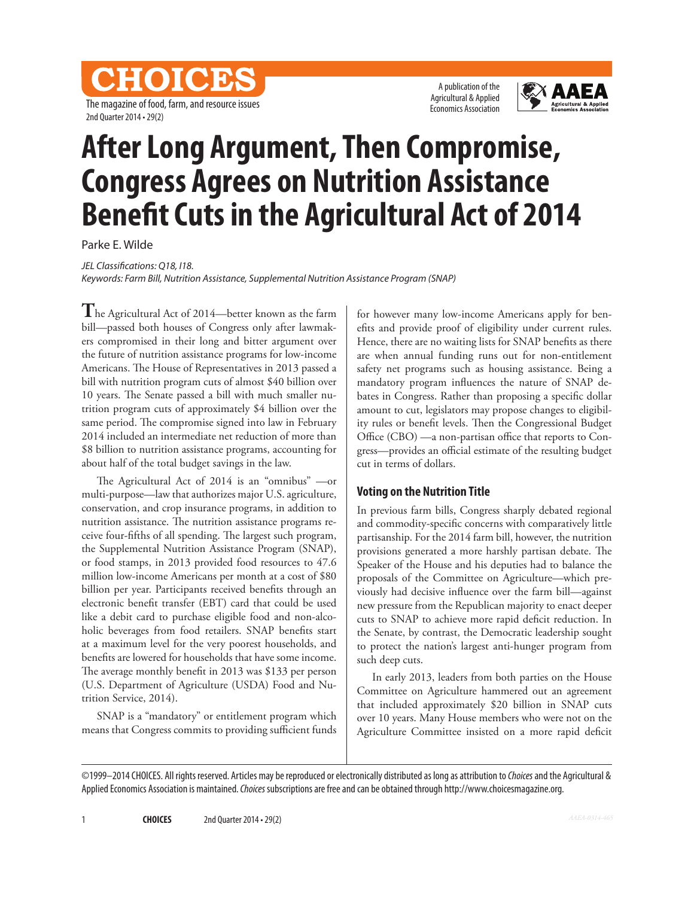CHOICES The magazine of food, farm, and resource issues 2nd Quarter 2014 • 29(2)

A publication of the Agricultural & Applied Economics Association



# **After Long Argument, Then Compromise, Congress Agrees on Nutrition Assistance Benefit Cuts in the Agricultural Act of 2014**

Parke E. Wilde

*JEL Classifications: Q18, I18.*

*Keywords: Farm Bill, Nutrition Assistance, Supplemental Nutrition Assistance Program (SNAP)*

**T**he Agricultural Act of 2014—better known as the farm bill—passed both houses of Congress only after lawmakers compromised in their long and bitter argument over the future of nutrition assistance programs for low-income Americans. The House of Representatives in 2013 passed a bill with nutrition program cuts of almost \$40 billion over 10 years. The Senate passed a bill with much smaller nutrition program cuts of approximately \$4 billion over the same period. The compromise signed into law in February 2014 included an intermediate net reduction of more than \$8 billion to nutrition assistance programs, accounting for about half of the total budget savings in the law.

The Agricultural Act of 2014 is an "omnibus" —or multi-purpose—law that authorizes major U.S. agriculture, conservation, and crop insurance programs, in addition to nutrition assistance. The nutrition assistance programs receive four-fifths of all spending. The largest such program, the Supplemental Nutrition Assistance Program (SNAP), or food stamps, in 2013 provided food resources to 47.6 million low-income Americans per month at a cost of \$80 billion per year. Participants received benefits through an electronic benefit transfer (EBT) card that could be used like a debit card to purchase eligible food and non-alcoholic beverages from food retailers. SNAP benefits start at a maximum level for the very poorest households, and benefits are lowered for households that have some income. The average monthly benefit in 2013 was \$133 per person (U.S. Department of Agriculture (USDA) Food and Nutrition Service, 2014).

SNAP is a "mandatory" or entitlement program which means that Congress commits to providing sufficient funds

for however many low-income Americans apply for benefits and provide proof of eligibility under current rules. Hence, there are no waiting lists for SNAP benefits as there are when annual funding runs out for non-entitlement safety net programs such as housing assistance. Being a mandatory program influences the nature of SNAP debates in Congress. Rather than proposing a specific dollar amount to cut, legislators may propose changes to eligibility rules or benefit levels. Then the Congressional Budget Office (CBO) —a non-partisan office that reports to Congress—provides an official estimate of the resulting budget cut in terms of dollars.

### **Voting on the Nutrition Title**

In previous farm bills, Congress sharply debated regional and commodity-specific concerns with comparatively little partisanship. For the 2014 farm bill, however, the nutrition provisions generated a more harshly partisan debate. The Speaker of the House and his deputies had to balance the proposals of the Committee on Agriculture—which previously had decisive influence over the farm bill—against new pressure from the Republican majority to enact deeper cuts to SNAP to achieve more rapid deficit reduction. In the Senate, by contrast, the Democratic leadership sought to protect the nation's largest anti-hunger program from such deep cuts.

In early 2013, leaders from both parties on the House Committee on Agriculture hammered out an agreement that included approximately \$20 billion in SNAP cuts over 10 years. Many House members who were not on the Agriculture Committee insisted on a more rapid deficit

<sup>©1999–2014</sup> CHOICES. All rights reserved. Articles may be reproduced or electronically distributed as long as attribution to *Choices* and the Agricultural & Applied Economics Association is maintained. *Choices* subscriptions are free and can be obtained through http://www.choicesmagazine.org.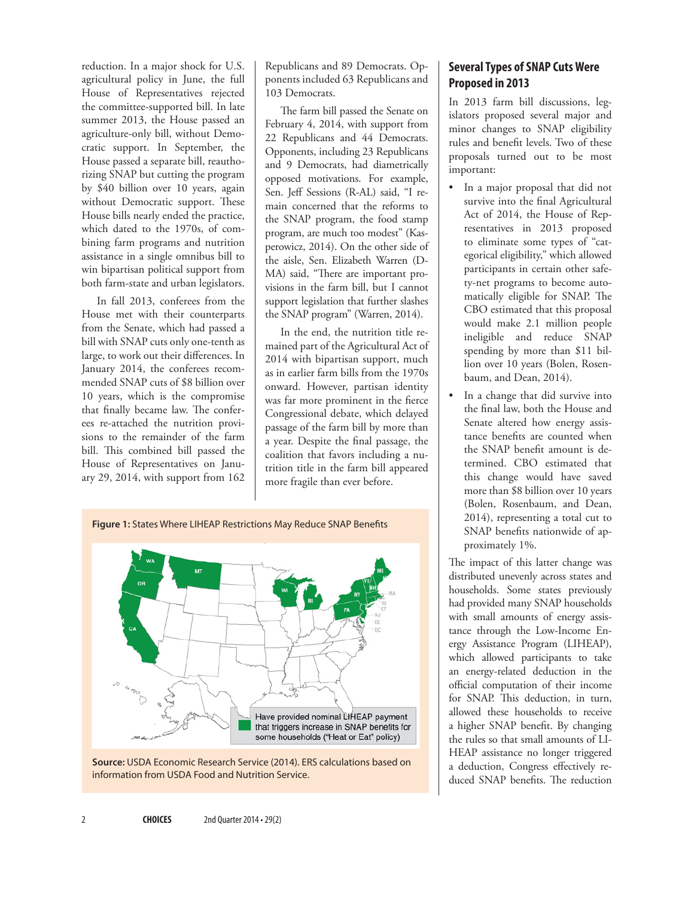reduction. In a major shock for U.S. agricultural policy in June, the full House of Representatives rejected the committee-supported bill. In late summer 2013, the House passed an agriculture-only bill, without Democratic support. In September, the House passed a separate bill, reauthorizing SNAP but cutting the program by \$40 billion over 10 years, again without Democratic support. These House bills nearly ended the practice, which dated to the 1970s, of combining farm programs and nutrition assistance in a single omnibus bill to win bipartisan political support from both farm-state and urban legislators.

In fall 2013, conferees from the House met with their counterparts from the Senate, which had passed a bill with SNAP cuts only one-tenth as large, to work out their differences. In January 2014, the conferees recommended SNAP cuts of \$8 billion over 10 years, which is the compromise that finally became law. The conferees re-attached the nutrition provisions to the remainder of the farm bill. This combined bill passed the House of Representatives on January 29, 2014, with support from 162

Republicans and 89 Democrats. Opponents included 63 Republicans and 103 Democrats.

The farm bill passed the Senate on February 4, 2014, with support from 22 Republicans and 44 Democrats. Opponents, including 23 Republicans and 9 Democrats, had diametrically opposed motivations. For example, Sen. Jeff Sessions (R-AL) said, "I remain concerned that the reforms to the SNAP program, the food stamp program, are much too modest" (Kasperowicz, 2014). On the other side of the aisle, Sen. Elizabeth Warren (D-MA) said, "There are important provisions in the farm bill, but I cannot support legislation that further slashes the SNAP program" (Warren, 2014).

In the end, the nutrition title remained part of the Agricultural Act of 2014 with bipartisan support, much as in earlier farm bills from the 1970s onward. However, partisan identity was far more prominent in the fierce Congressional debate, which delayed passage of the farm bill by more than a year. Despite the final passage, the coalition that favors including a nutrition title in the farm bill appeared more fragile than ever before.





# **Several Types of SNAP Cuts Were Proposed in 2013**

In 2013 farm bill discussions, legislators proposed several major and minor changes to SNAP eligibility rules and benefit levels. Two of these proposals turned out to be most important:

- In a major proposal that did not survive into the final Agricultural Act of 2014, the House of Representatives in 2013 proposed to eliminate some types of "categorical eligibility," which allowed participants in certain other safety-net programs to become automatically eligible for SNAP. The CBO estimated that this proposal would make 2.1 million people ineligible and reduce SNAP spending by more than \$11 billion over 10 years (Bolen, Rosenbaum, and Dean, 2014).
- In a change that did survive into the final law, both the House and Senate altered how energy assistance benefits are counted when the SNAP benefit amount is determined. CBO estimated that this change would have saved more than \$8 billion over 10 years (Bolen, Rosenbaum, and Dean, 2014), representing a total cut to SNAP benefits nationwide of approximately 1%.

The impact of this latter change was distributed unevenly across states and households. Some states previously had provided many SNAP households with small amounts of energy assistance through the Low-Income Energy Assistance Program (LIHEAP), which allowed participants to take an energy-related deduction in the official computation of their income for SNAP. This deduction, in turn, allowed these households to receive a higher SNAP benefit. By changing the rules so that small amounts of LI-HEAP assistance no longer triggered a deduction, Congress effectively reduced SNAP benefits. The reduction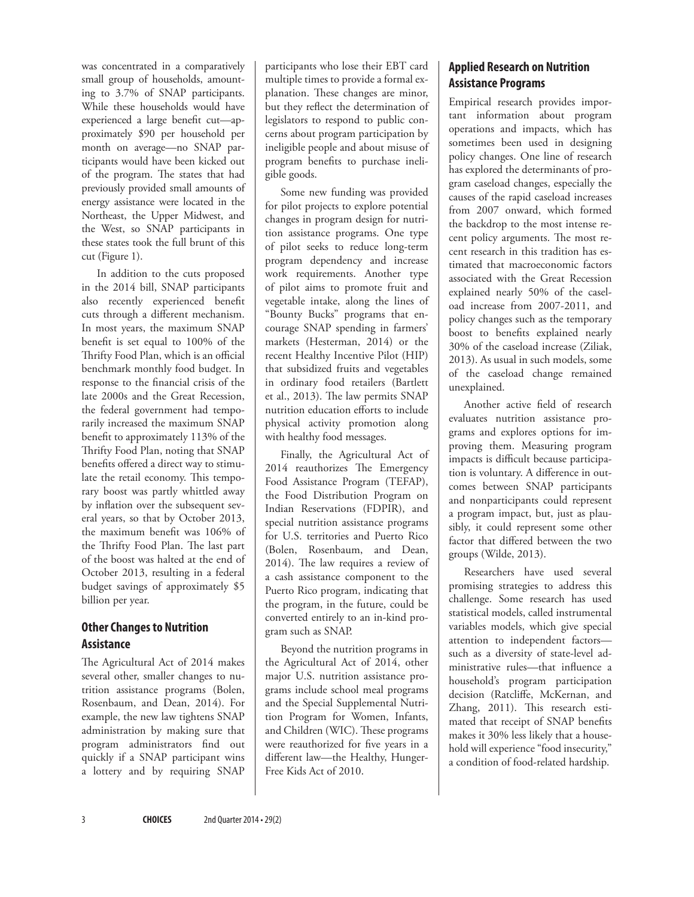was concentrated in a comparatively small group of households, amounting to 3.7% of SNAP participants. While these households would have experienced a large benefit cut—approximately \$90 per household per month on average—no SNAP participants would have been kicked out of the program. The states that had previously provided small amounts of energy assistance were located in the Northeast, the Upper Midwest, and the West, so SNAP participants in these states took the full brunt of this cut (Figure 1).

In addition to the cuts proposed in the 2014 bill, SNAP participants also recently experienced benefit cuts through a different mechanism. In most years, the maximum SNAP benefit is set equal to 100% of the Thrifty Food Plan, which is an official benchmark monthly food budget. In response to the financial crisis of the late 2000s and the Great Recession, the federal government had temporarily increased the maximum SNAP benefit to approximately 113% of the Thrifty Food Plan, noting that SNAP benefits offered a direct way to stimulate the retail economy. This temporary boost was partly whittled away by inflation over the subsequent several years, so that by October 2013, the maximum benefit was 106% of the Thrifty Food Plan. The last part of the boost was halted at the end of October 2013, resulting in a federal budget savings of approximately \$5 billion per year.

## **Other Changes to Nutrition Assistance**

The Agricultural Act of 2014 makes several other, smaller changes to nutrition assistance programs (Bolen, Rosenbaum, and Dean, 2014). For example, the new law tightens SNAP administration by making sure that program administrators find out quickly if a SNAP participant wins a lottery and by requiring SNAP

participants who lose their EBT card multiple times to provide a formal explanation. These changes are minor, but they reflect the determination of legislators to respond to public concerns about program participation by ineligible people and about misuse of program benefits to purchase ineligible goods.

Some new funding was provided for pilot projects to explore potential changes in program design for nutrition assistance programs. One type of pilot seeks to reduce long-term program dependency and increase work requirements. Another type of pilot aims to promote fruit and vegetable intake, along the lines of "Bounty Bucks" programs that encourage SNAP spending in farmers' markets (Hesterman, 2014) or the recent Healthy Incentive Pilot (HIP) that subsidized fruits and vegetables in ordinary food retailers (Bartlett et al., 2013). The law permits SNAP nutrition education efforts to include physical activity promotion along with healthy food messages.

Finally, the Agricultural Act of 2014 reauthorizes The Emergency Food Assistance Program (TEFAP), the Food Distribution Program on Indian Reservations (FDPIR), and special nutrition assistance programs for U.S. territories and Puerto Rico (Bolen, Rosenbaum, and Dean, 2014). The law requires a review of a cash assistance component to the Puerto Rico program, indicating that the program, in the future, could be converted entirely to an in-kind program such as SNAP.

Beyond the nutrition programs in the Agricultural Act of 2014, other major U.S. nutrition assistance programs include school meal programs and the Special Supplemental Nutrition Program for Women, Infants, and Children (WIC). These programs were reauthorized for five years in a different law—the Healthy, Hunger-Free Kids Act of 2010.

# **Applied Research on Nutrition Assistance Programs**

Empirical research provides important information about program operations and impacts, which has sometimes been used in designing policy changes. One line of research has explored the determinants of program caseload changes, especially the causes of the rapid caseload increases from 2007 onward, which formed the backdrop to the most intense recent policy arguments. The most recent research in this tradition has estimated that macroeconomic factors associated with the Great Recession explained nearly 50% of the caseload increase from 2007-2011, and policy changes such as the temporary boost to benefits explained nearly 30% of the caseload increase (Ziliak, 2013). As usual in such models, some of the caseload change remained unexplained.

Another active field of research evaluates nutrition assistance programs and explores options for improving them. Measuring program impacts is difficult because participation is voluntary. A difference in outcomes between SNAP participants and nonparticipants could represent a program impact, but, just as plausibly, it could represent some other factor that differed between the two groups (Wilde, 2013).

Researchers have used several promising strategies to address this challenge. Some research has used statistical models, called instrumental variables models, which give special attention to independent factors such as a diversity of state-level administrative rules—that influence a household's program participation decision (Ratcliffe, McKernan, and Zhang, 2011). This research estimated that receipt of SNAP benefits makes it 30% less likely that a household will experience "food insecurity," a condition of food-related hardship.